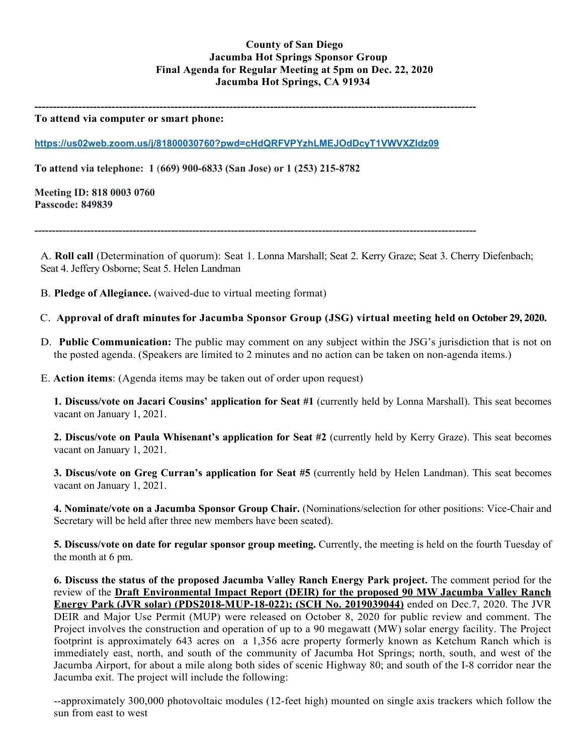# **County of San Diego Jacumba Hot Springs Sponsor Group Final Agenda for Regular Meeting at 5pm on Dec. 22, 2020 Jacumba Hot Springs, CA 91934**

**------------------------------------------------------------------------------------------------------------------------**

#### **To attend via computer or smart phone:**

**<https://us02web.zoom.us/j/81800030760?pwd=cHdQRFVPYzhLMEJOdDcyT1VWVXZIdz09>**

**To attend via telephone: 1** (**669) 900-6833 (San Jose) or 1 (253) 215-8782**

**Meeting ID: 818 0003 0760 Passcode: 849839**

**------------------------------------------------------------------------------------------------------------------------------**

A. **Roll call** (Determination of quorum): Seat 1. Lonna Marshall; Seat 2. Kerry Graze; Seat 3. Cherry Diefenbach; Seat 4. Jeffery Osborne; Seat 5. Helen Landman

- B. **Pledge of Allegiance.** (waived-due to virtual meeting format)
- C. **Approval of draft minutes for Jacumba Sponsor Group (JSG) virtual meeting held on October 29, 2020.**
- D. **Public Communication:** The public may comment on any subject within the JSG's jurisdiction that is not on the posted agenda. (Speakers are limited to 2 minutes and no action can be taken on non-agenda items.)
- E. **Action items**: (Agenda items may be taken out of order upon request)

**1. Discuss/vote on Jacari Cousins' application for Seat #1** (currently held by Lonna Marshall). This seat becomes vacant on January 1, 2021.

**2. Discus/vote on Paula Whisenant's application for Seat #2** (currently held by Kerry Graze). This seat becomes vacant on January 1, 2021.

**3. Discus/vote on Greg Curran's application for Seat #5** (currently held by Helen Landman). This seat becomes vacant on January 1, 2021.

**4. Nominate/vote on a Jacumba Sponsor Group Chair.** (Nominations/selection for other positions: Vice-Chair and Secretary will be held after three new members have been seated).

**5. Discuss/vote on date for regular sponsor group meeting.** Currently, the meeting is held on the fourth Tuesday of the month at 6 pm.

**6. Discuss the status of the proposed Jacumba Valley Ranch Energy Park project.** The comment period for the review of the **Draft Environmental Impact Report (DEIR) for the proposed 90 MW Jacumba Valley Ranch Energy Park (JVR solar) (PDS2018-MUP-18-022); (SCH No. 2019039044)** ended on Dec.7, 2020. The JVR DEIR and Major Use Permit (MUP) were released on October 8, 2020 for public review and comment. The Project involves the construction and operation of up to a 90 megawatt (MW) solar energy facility. The Project footprint is approximately 643 acres on a 1,356 acre property formerly known as Ketchum Ranch which is immediately east, north, and south of the community of Jacumba Hot Springs; north, south, and west of the Jacumba Airport, for about a mile along both sides of scenic Highway 80; and south of the I-8 corridor near the Jacumba exit. The project will include the following:

--approximately 300,000 photovoltaic modules (12-feet high) mounted on single axis trackers which follow the sun from east to west